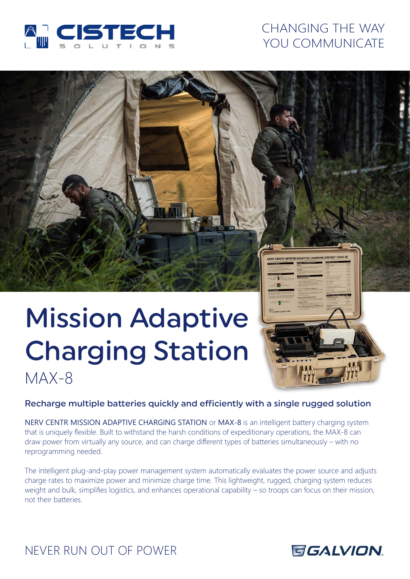

# CHANGING THE WAY YOU COMMUNICATE

# Mission Adaptive Charging Station

MAX-8

Recharge multiple batteries quickly and efficiently with a single rugged solution

NERV CENTR MISSION ADAPTIVE CHARGING STATION or MAX-8 is an intelligent battery charging system that is uniquely flexible. Built to withstand the harsh conditions of expeditionary operations, the MAX-8 can draw power from virtually any source, and can charge different types of batteries simultaneously – with no reprogramming needed.

The intelligent plug-and-play power management system automatically evaluates the power source and adjusts charge rates to maximize power and minimize charge time. This lightweight, rugged, charging system reduces weight and bulk, simplifies logistics, and enhances operational capability – so troops can focus on their mission, not their batteries.

# NEVER RUN OUT OF POWER